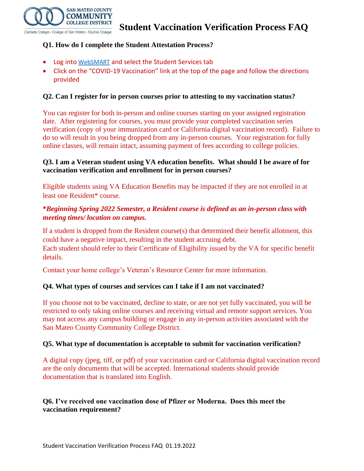

# **Q1. How do I complete the Student Attestation Process?**

- Log into [WebSMART](https://phx-ban-ssb8.smccd.edu/) and select the Student Services tab
- Click on the "COVID-19 Vaccination" link at the top of the page and follow the directions provided

#### **Q2. Can I register for in person courses prior to attesting to my vaccination status?**

You can register for both in-person and online courses starting on your assigned registration date. After registering for courses, you must provide your completed vaccination series verification (copy of your immunization card or California digital vaccination record). Failure to do so will result in you being dropped from any in-person courses. Your registration for fully online classes, will remain intact, assuming payment of fees according to college policies.

#### **Q3. I am a Veteran student using VA education benefits. What should I be aware of for vaccination verification and enrollment for in person courses?**

Eligible students using VA Education Benefits may be impacted if they are not enrolled in at least one Resident\* course.

## **\****Beginning Spring 2022 Semester, a Resident course is defined as an in-person class with meeting times/ location on campus.*

If a student is dropped from the Resident course(s) that determined their benefit allotment, this could have a negative impact, resulting in the student accruing debt.

Each student should refer to their Certificate of Eligibility issued by the VA for specific benefit details.

Contact your home college's Veteran's Resource Center for more information.

## **Q4. What types of courses and services can I take if I am not vaccinated?**

If you choose not to be vaccinated, decline to state, or are not yet fully vaccinated, you will be restricted to only taking online courses and receiving virtual and remote support services. You may not access any campus building or engage in any in-person activities associated with the San Mateo County Community College District.

## **Q5. What type of documentation is acceptable to submit for vaccination verification?**

A digital copy (jpeg, tiff, or pdf) of your vaccination card or California digital vaccination record are the only documents that will be accepted. International students should provide documentation that is translated into English.

## **Q6. I've received one vaccination dose of Pfizer or Moderna. Does this meet the vaccination requirement?**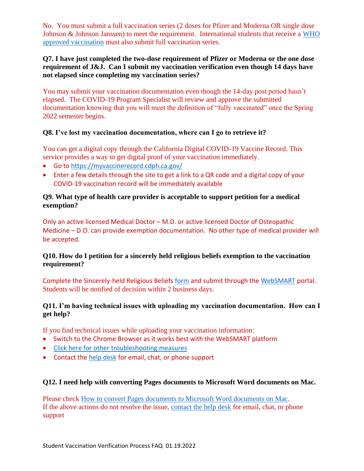No. You must submit a full vaccination series (2 doses for Pfizer and Moderna OR single dose Johnson & Johnson Janssen) to meet the requirement. International students that receive a [WHO](https://www.who.int/emergencies/diseases/novel-coronavirus-2019/covid-19-vaccines/advice)  [approved vaccination](https://www.who.int/emergencies/diseases/novel-coronavirus-2019/covid-19-vaccines/advice) must also submit full vaccination series.

#### **Q7. I have just completed the two-dose requirement of Pfizer or Moderna or the one dose requirement of J&J. Can I submit my vaccination verification even though 14 days have not elapsed since completing my vaccination series?**

You may submit your vaccination documentation even though the 14-day post period hasn't elapsed. The COVID-19 Program Specialist will review and approve the submitted documentation knowing that you will meet the definition of "fully vaccinated" once the Spring 2022 semester begins.

## **Q8. I've lost my vaccination documentation, where can I go to retrieve it?**

You can get a digital copy through the California Digital COVID-19 Vaccine Record. This service provides a way to get digital proof of your vaccination immediately.

- Go to<https://myvaccinerecord.cdph.ca.gov/>
- Enter a few details through the site to get a link to a QR code and a digital copy of your COVID-19 vaccination record will be immediately available

# **Q9. What type of health care provider is acceptable to support petition for a medical exemption?**

Only an active licensed Medical Doctor – M.D. or active licensed Doctor of Osteopathic Medicine – D.O. can provide exemption documentation. No other type of medical provider will be accepted.

# **Q10. How do I petition for a sincerely held religious beliefs exemption to the vaccination requirement?**

Complete the Sincerely-held Religious Beliefs [form](https://smccd.edu/return-to-campus/docs/Student%20Request%20for%20Religious%20Exemption%20Form%2011.12.2021.pdf) and submit through the [WebSMART](https://phx-ban-ssb8.smccd.edu/) portal. Students will be notified of decision within 2 business days.

# **Q11. I'm having technical issues with uploading my vaccination documentation. How can I get help?**

If you find technical issues while uploading your vaccination information:

- Switch to the Chrome Browser as it works best with the WebSMART platform
- [Click here for other troubleshooting measures](https://smccd.edu/student-tutorials/mysmccd-login-portal/troubleshoot-login.php)
- Contact the [help desk](https://smccdhelp.zendesk.com/hc/en-us) for email, chat, or phone support

## **Q12. I need help with converting Pages documents to Microsoft Word documents on Mac.**

Please check [How to convert Pages documents to Microsoft Word documents on Mac.](https://smccd.edu/student-tutorials/pagestoword.php) If the above actions do not resolve the issue, [contact the help desk](https://smccdhelp.zendesk.com/hc/en-us) for email, chat, or phone support